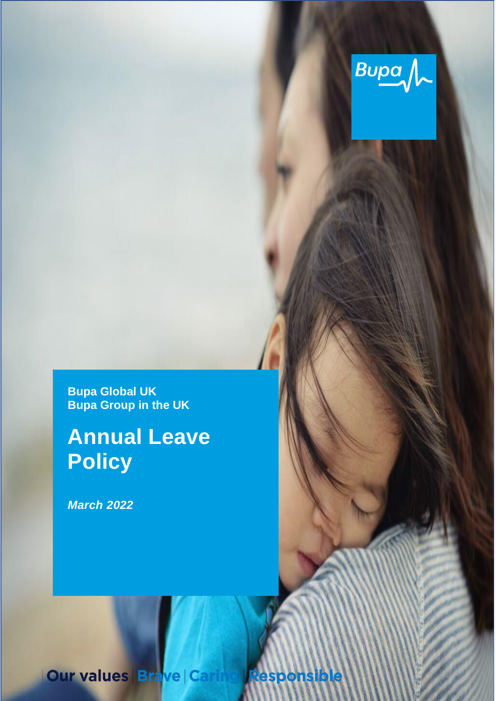

**Bupa Global UK Bupa Group in the UK**

**Annual Leave Policy**

*March 2022*

**Our values Brave Cartill** Responsible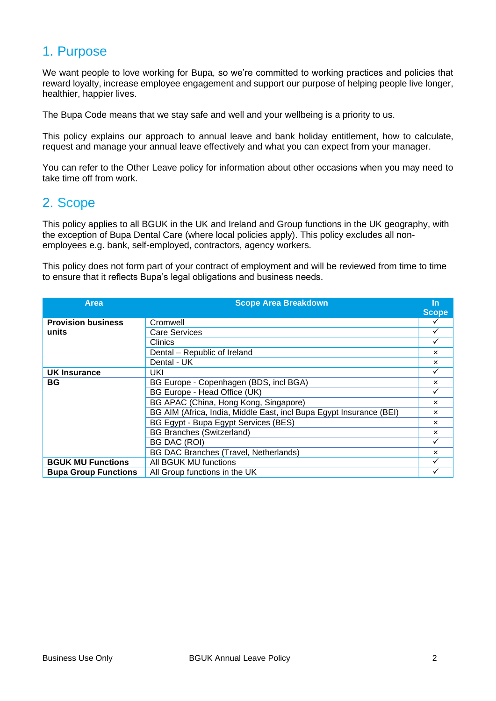## 1. Purpose

We want people to love working for Bupa, so we're committed to working practices and policies that reward loyalty, increase employee engagement and support our purpose of helping people live longer, healthier, happier lives.

The Bupa Code means that we stay safe and well and your wellbeing is a priority to us.

This policy explains our approach to annual leave and bank holiday entitlement, how to calculate, request and manage your annual leave effectively and what you can expect from your manager.

You can refer to the Other Leave policy for information about other occasions when you may need to take time off from work.

## 2. Scope

This policy applies to all BGUK in the UK and Ireland and Group functions in the UK geography, with the exception of Bupa Dental Care (where local policies apply). This policy excludes all nonemployees e.g. bank, self-employed, contractors, agency workers.

This policy does not form part of your contract of employment and will be reviewed from time to time to ensure that it reflects Bupa's legal obligations and business needs.

| Area                        | <b>Scope Area Breakdown</b>                                         |                           |
|-----------------------------|---------------------------------------------------------------------|---------------------------|
|                             |                                                                     | <b>Scope</b>              |
| <b>Provision business</b>   | Cromwell                                                            |                           |
| units                       | <b>Care Services</b>                                                |                           |
|                             | <b>Clinics</b>                                                      |                           |
|                             | Dental - Republic of Ireland                                        | ×                         |
|                             | Dental - UK                                                         | $\boldsymbol{\mathsf{x}}$ |
| UK Insurance                | UKI                                                                 |                           |
| ΒG                          | BG Europe - Copenhagen (BDS, incl BGA)                              | ×                         |
|                             | BG Europe - Head Office (UK)                                        |                           |
|                             | BG APAC (China, Hong Kong, Singapore)                               | ×                         |
|                             | BG AIM (Africa, India, Middle East, incl Bupa Egypt Insurance (BEI) | $\times$                  |
|                             | BG Egypt - Bupa Egypt Services (BES)                                | $\mathsf{x}$              |
|                             | <b>BG Branches (Switzerland)</b>                                    | ×                         |
|                             | <b>BG DAC (ROI)</b>                                                 |                           |
|                             | <b>BG DAC Branches (Travel, Netherlands)</b>                        | $\boldsymbol{\mathsf{x}}$ |
| <b>BGUK MU Functions</b>    | All BGUK MU functions                                               |                           |
| <b>Bupa Group Functions</b> | All Group functions in the UK                                       |                           |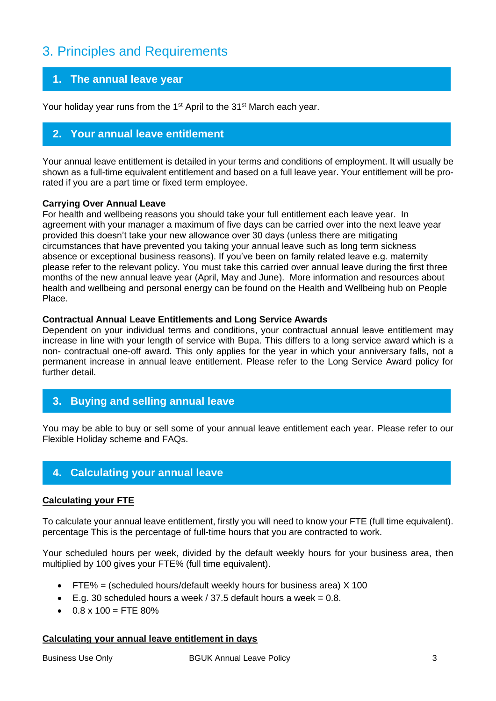# 3. Principles and Requirements

## **1. The annual leave year**

Your holiday year runs from the 1<sup>st</sup> April to the 31<sup>st</sup> March each year.

## **2. Your annual leave entitlement**

Your annual leave entitlement is detailed in your terms and conditions of employment. It will usually be shown as a full-time equivalent entitlement and based on a full leave year. Your entitlement will be prorated if you are a part time or fixed term employee.

#### **Carrying Over Annual Leave**

For health and wellbeing reasons you should take your full entitlement each leave year. In agreement with your manager a maximum of five days can be carried over into the next leave year provided this doesn't take your new allowance over 30 days (unless there are mitigating circumstances that have prevented you taking your annual leave such as long term sickness absence or exceptional business reasons). If you've been on family related leave e.g. maternity please refer to the relevant policy. You must take this carried over annual leave during the first three months of the new annual leave year (April, May and June). More information and resources about health and wellbeing and personal energy can be found on the Health and Wellbeing hub on People Place.

#### **Contractual Annual Leave Entitlements and Long Service Awards**

Dependent on your individual terms and conditions, your contractual annual leave entitlement may increase in line with your length of service with Bupa. This differs to a long service award which is a non- contractual one-off award. This only applies for the year in which your anniversary falls, not a permanent increase in annual leave entitlement. Please refer to the Long Service Award policy for further detail.

## **3. Buying and selling annual leave**

You may be able to buy or sell some of your annual leave entitlement each year. Please refer to our Flexible Holiday scheme and FAQs.

## **4. Calculating your annual leave**

### **Calculating your FTE**

To calculate your annual leave entitlement, firstly you will need to know your FTE (full time equivalent). percentage This is the percentage of full-time hours that you are contracted to work.

Your scheduled hours per week, divided by the default weekly hours for your business area, then multiplied by 100 gives your FTE% (full time equivalent).

- FTE% = (scheduled hours/default weekly hours for business area)  $X$  100
- E.g. 30 scheduled hours a week  $/$  37.5 default hours a week = 0.8.
- $\bullet$  0.8 x 100 = FTE 80%

### **Calculating your annual leave entitlement in days**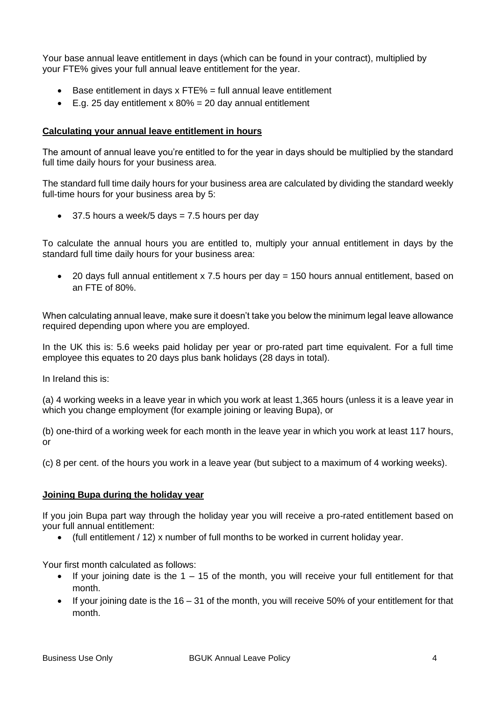Your base annual leave entitlement in days (which can be found in your contract), multiplied by your FTE% gives your full annual leave entitlement for the year.

- Base entitlement in days x FTE% = full annual leave entitlement
- E.g. 25 day entitlement  $x$  80% = 20 day annual entitlement

#### **Calculating your annual leave entitlement in hours**

The amount of annual leave you're entitled to for the year in days should be multiplied by the standard full time daily hours for your business area.

The standard full time daily hours for your business area are calculated by dividing the standard weekly full-time hours for your business area by 5:

 $\bullet$  37.5 hours a week/5 days = 7.5 hours per day

To calculate the annual hours you are entitled to, multiply your annual entitlement in days by the standard full time daily hours for your business area:

• 20 days full annual entitlement x 7.5 hours per day = 150 hours annual entitlement, based on an FTE of 80%.

When calculating annual leave, make sure it doesn't take you below the minimum legal leave allowance required depending upon where you are employed.

In the UK this is: 5.6 weeks paid holiday per year or pro-rated part time equivalent. For a full time employee this equates to 20 days plus bank holidays (28 days in total).

In Ireland this is:

(a) 4 working weeks in a leave year in which you work at least 1,365 hours (unless it is a leave year in which you change employment (for example joining or leaving Bupa), or

(b) one-third of a working week for each month in the leave year in which you work at least 117 hours, or

(c) 8 per cent. of the hours you work in a leave year (but subject to a maximum of 4 working weeks).

### **Joining Bupa during the holiday year**

If you join Bupa part way through the holiday year you will receive a pro-rated entitlement based on your full annual entitlement:

(full entitlement  $/ 12$ ) x number of full months to be worked in current holiday year.

Your first month calculated as follows:

- $\bullet$  If your joining date is the 1 15 of the month, you will receive your full entitlement for that month.
- If your joining date is the 16 31 of the month, you will receive 50% of your entitlement for that month.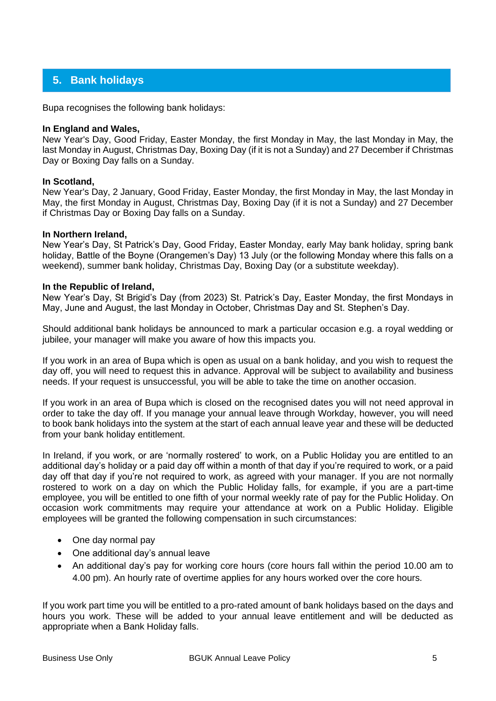## **5. Bank holidays**

Bupa recognises the following bank holidays:

#### **In England and Wales,**

New Year's Day, Good Friday, Easter Monday, the first Monday in May, the last Monday in May, the last Monday in August, Christmas Day, Boxing Day (if it is not a Sunday) and 27 December if Christmas Day or Boxing Day falls on a Sunday.

#### **In Scotland,**

New Year's Day, 2 January, Good Friday, Easter Monday, the first Monday in May, the last Monday in May, the first Monday in August, Christmas Day, Boxing Day (if it is not a Sunday) and 27 December if Christmas Day or Boxing Day falls on a Sunday.

#### **In Northern Ireland,**

New Year's Day, St Patrick's Day, Good Friday, Easter Monday, early May bank holiday, spring bank holiday, Battle of the Boyne (Orangemen's Day) 13 July (or the following Monday where this falls on a weekend), summer bank holiday, Christmas Day, Boxing Day (or a substitute weekday).

#### **In the Republic of Ireland,**

New Year's Day, St Brigid's Day (from 2023) St. Patrick's Day, Easter Monday, the first Mondays in May, June and August, the last Monday in October, Christmas Day and St. Stephen's Day.

Should additional bank holidays be announced to mark a particular occasion e.g. a royal wedding or jubilee, your manager will make you aware of how this impacts you.

If you work in an area of Bupa which is open as usual on a bank holiday, and you wish to request the day off, you will need to request this in advance. Approval will be subject to availability and business needs. If your request is unsuccessful, you will be able to take the time on another occasion.

If you work in an area of Bupa which is closed on the recognised dates you will not need approval in order to take the day off. If you manage your annual leave through Workday, however, you will need to book bank holidays into the system at the start of each annual leave year and these will be deducted from your bank holiday entitlement.

In Ireland, if you work, or are 'normally rostered' to work, on a Public Holiday you are entitled to an additional day's holiday or a paid day off within a month of that day if you're required to work, or a paid day off that day if you're not required to work, as agreed with your manager. If you are not normally rostered to work on a day on which the Public Holiday falls, for example, if you are a part-time employee, you will be entitled to one fifth of your normal weekly rate of pay for the Public Holiday. On occasion work commitments may require your attendance at work on a Public Holiday. Eligible employees will be granted the following compensation in such circumstances:

- One day normal pay
- One additional day's annual leave
- An additional day's pay for working core hours (core hours fall within the period 10.00 am to 4.00 pm). An hourly rate of overtime applies for any hours worked over the core hours.

If you work part time you will be entitled to a pro-rated amount of bank holidays based on the days and hours you work. These will be added to your annual leave entitlement and will be deducted as appropriate when a Bank Holiday falls.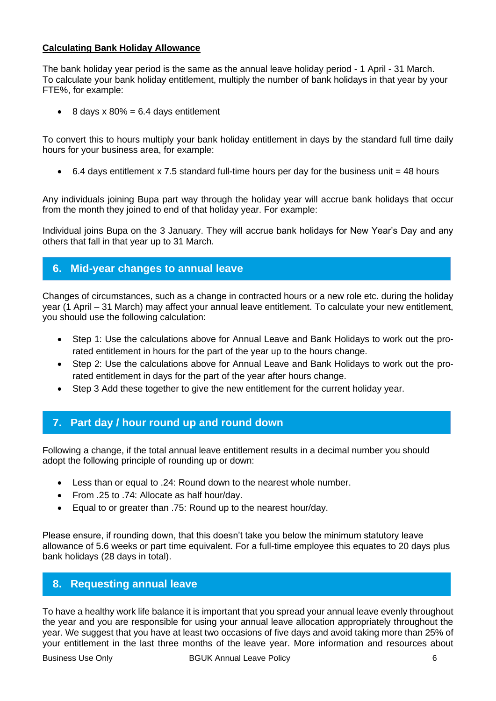### **Calculating Bank Holiday Allowance**

The bank holiday year period is the same as the annual leave holiday period - 1 April - 31 March. To calculate your bank holiday entitlement, multiply the number of bank holidays in that year by your FTE%, for example:

8 days x  $80\% = 6.4$  days entitlement

To convert this to hours multiply your bank holiday entitlement in days by the standard full time daily hours for your business area, for example:

 $\bullet$  6.4 days entitlement x 7.5 standard full-time hours per day for the business unit = 48 hours

Any individuals joining Bupa part way through the holiday year will accrue bank holidays that occur from the month they joined to end of that holiday year. For example:

Individual joins Bupa on the 3 January. They will accrue bank holidays for New Year's Day and any others that fall in that year up to 31 March.

## **6. Mid-year changes to annual leave**

Changes of circumstances, such as a change in contracted hours or a new role etc. during the holiday year (1 April – 31 March) may affect your annual leave entitlement. To calculate your new entitlement, you should use the following calculation:

- Step 1: Use the calculations above for Annual Leave and Bank Holidays to work out the prorated entitlement in hours for the part of the year up to the hours change.
- Step 2: Use the calculations above for Annual Leave and Bank Holidays to work out the prorated entitlement in days for the part of the year after hours change.
- Step 3 Add these together to give the new entitlement for the current holiday year.

## **7. Part day / hour round up and round down**

Following a change, if the total annual leave entitlement results in a decimal number you should adopt the following principle of rounding up or down:

- Less than or equal to .24: Round down to the nearest whole number.
- From .25 to .74: Allocate as half hour/day.
- Equal to or greater than .75: Round up to the nearest hour/day.

Please ensure, if rounding down, that this doesn't take you below the minimum statutory leave allowance of 5.6 weeks or part time equivalent. For a full-time employee this equates to 20 days plus bank holidays (28 days in total).

## **8. Requesting annual leave**

To have a healthy work life balance it is important that you spread your annual leave evenly throughout the year and you are responsible for using your annual leave allocation appropriately throughout the year. We suggest that you have at least two occasions of five days and avoid taking more than 25% of your entitlement in the last three months of the leave year. More information and resources about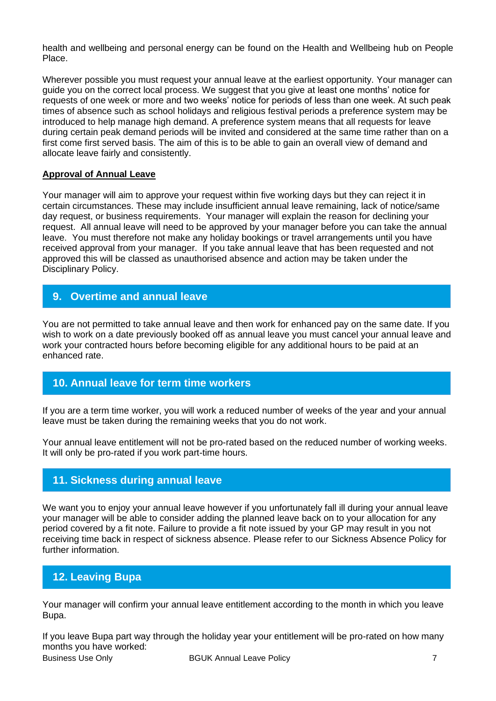health and wellbeing and personal energy can be found on the Health and Wellbeing hub on People Place.

Wherever possible you must request your annual leave at the earliest opportunity. Your manager can guide you on the correct local process. We suggest that you give at least one months' notice for requests of one week or more and two weeks' notice for periods of less than one week. At such peak times of absence such as school holidays and religious festival periods a preference system may be introduced to help manage high demand. A preference system means that all requests for leave during certain peak demand periods will be invited and considered at the same time rather than on a first come first served basis. The aim of this is to be able to gain an overall view of demand and allocate leave fairly and consistently.

### **Approval of Annual Leave**

Your manager will aim to approve your request within five working days but they can reject it in certain circumstances. These may include insufficient annual leave remaining, lack of notice/same day request, or business requirements. Your manager will explain the reason for declining your request. All annual leave will need to be approved by your manager before you can take the annual leave. You must therefore not make any holiday bookings or travel arrangements until you have received approval from your manager. If you take annual leave that has been requested and not approved this will be classed as unauthorised absence and action may be taken under the Disciplinary Policy.

## **9. Overtime and annual leave**

You are not permitted to take annual leave and then work for enhanced pay on the same date. If you wish to work on a date previously booked off as annual leave you must cancel your annual leave and work your contracted hours before becoming eligible for any additional hours to be paid at an enhanced rate.

## **10. Annual leave for term time workers**

If you are a term time worker, you will work a reduced number of weeks of the year and your annual leave must be taken during the remaining weeks that you do not work.

Your annual leave entitlement will not be pro-rated based on the reduced number of working weeks. It will only be pro-rated if you work part-time hours.

## **11. Sickness during annual leave**

We want you to enjoy your annual leave however if you unfortunately fall ill during your annual leave your manager will be able to consider adding the planned leave back on to your allocation for any period covered by a fit note. Failure to provide a fit note issued by your GP may result in you not receiving time back in respect of sickness absence. Please refer to our Sickness Absence Policy for further information.

## **12. Leaving Bupa**

Your manager will confirm your annual leave entitlement according to the month in which you leave Bupa.

If you leave Bupa part way through the holiday year your entitlement will be pro-rated on how many months you have worked: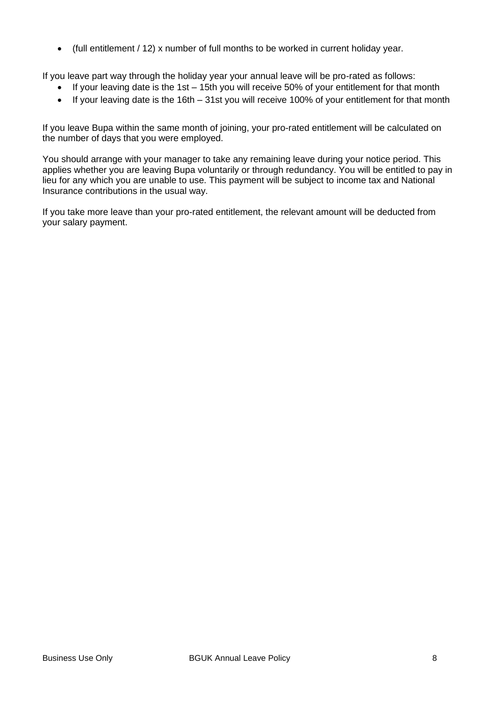• (full entitlement / 12) x number of full months to be worked in current holiday year.

If you leave part way through the holiday year your annual leave will be pro-rated as follows:

- If your leaving date is the 1st 15th you will receive 50% of your entitlement for that month
- If your leaving date is the 16th 31st you will receive 100% of your entitlement for that month

If you leave Bupa within the same month of joining, your pro-rated entitlement will be calculated on the number of days that you were employed.

You should arrange with your manager to take any remaining leave during your notice period. This applies whether you are leaving Bupa voluntarily or through redundancy. You will be entitled to pay in lieu for any which you are unable to use. This payment will be subject to income tax and National Insurance contributions in the usual way.

If you take more leave than your pro-rated entitlement, the relevant amount will be deducted from your salary payment.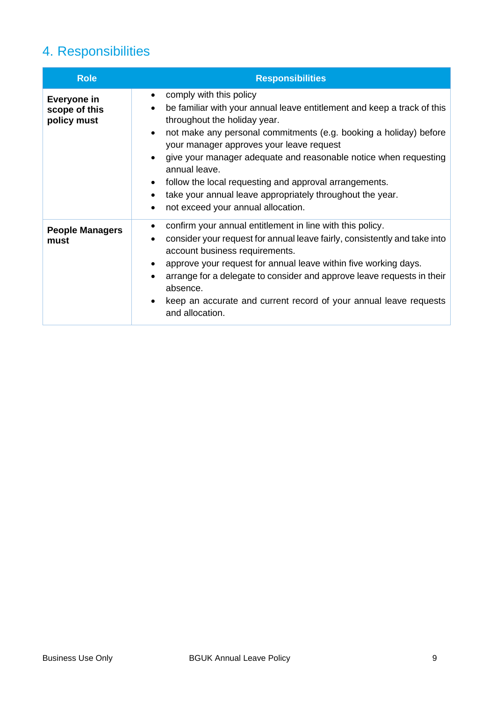# 4. Responsibilities

| <b>Role</b>                                 | <b>Responsibilities</b>                                                                                                                                                                                                                                                                                                                                                                                                                                                                                                                           |  |  |
|---------------------------------------------|---------------------------------------------------------------------------------------------------------------------------------------------------------------------------------------------------------------------------------------------------------------------------------------------------------------------------------------------------------------------------------------------------------------------------------------------------------------------------------------------------------------------------------------------------|--|--|
| Everyone in<br>scope of this<br>policy must | comply with this policy<br>$\bullet$<br>be familiar with your annual leave entitlement and keep a track of this<br>throughout the holiday year.<br>not make any personal commitments (e.g. booking a holiday) before<br>$\bullet$<br>your manager approves your leave request<br>give your manager adequate and reasonable notice when requesting<br>annual leave.<br>follow the local requesting and approval arrangements.<br>$\bullet$<br>take your annual leave appropriately throughout the year.<br>not exceed your annual allocation.<br>٠ |  |  |
| <b>People Managers</b><br>must              | confirm your annual entitlement in line with this policy.<br>consider your request for annual leave fairly, consistently and take into<br>account business requirements.<br>approve your request for annual leave within five working days.<br>$\bullet$<br>arrange for a delegate to consider and approve leave requests in their<br>absence.<br>keep an accurate and current record of your annual leave requests<br>and allocation.                                                                                                            |  |  |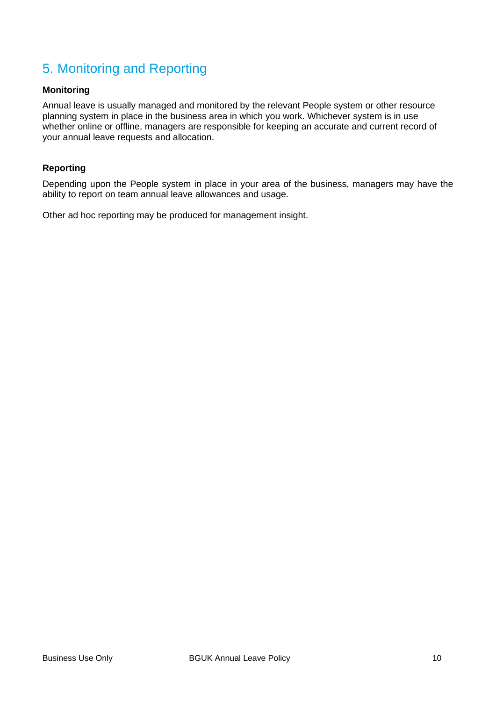# 5. Monitoring and Reporting

### **Monitoring**

Annual leave is usually managed and monitored by the relevant People system or other resource planning system in place in the business area in which you work. Whichever system is in use whether online or offline, managers are responsible for keeping an accurate and current record of your annual leave requests and allocation.

### **Reporting**

Depending upon the People system in place in your area of the business, managers may have the ability to report on team annual leave allowances and usage.

Other ad hoc reporting may be produced for management insight.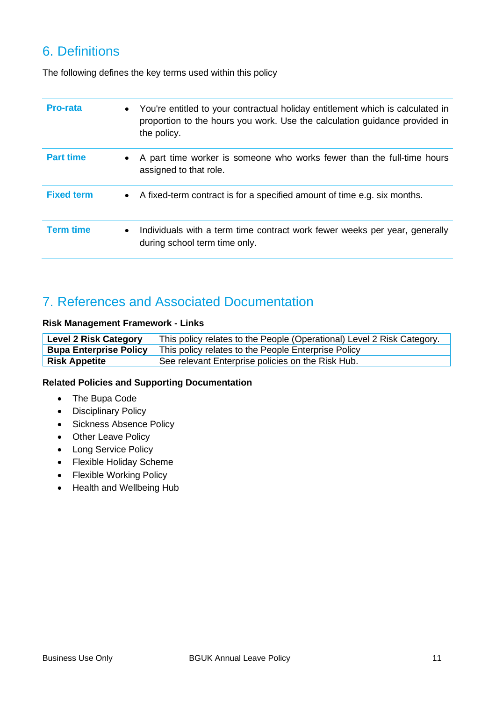## 6. Definitions

The following defines the key terms used within this policy

| Pro-rata          | • You're entitled to your contractual holiday entitlement which is calculated in<br>proportion to the hours you work. Use the calculation guidance provided in<br>the policy. |
|-------------------|-------------------------------------------------------------------------------------------------------------------------------------------------------------------------------|
| <b>Part time</b>  | • A part time worker is someone who works fewer than the full-time hours<br>assigned to that role.                                                                            |
| <b>Fixed term</b> | • A fixed-term contract is for a specified amount of time e.g. six months.                                                                                                    |
| <b>Term time</b>  | Individuals with a term time contract work fewer weeks per year, generally<br>$\bullet$<br>during school term time only.                                                      |

## 7. References and Associated Documentation

### **Risk Management Framework - Links**

| <b>Level 2 Risk Category</b>  | This policy relates to the People (Operational) Level 2 Risk Category. |
|-------------------------------|------------------------------------------------------------------------|
| <b>Bupa Enterprise Policy</b> | This policy relates to the People Enterprise Policy                    |
| <b>Risk Appetite</b>          | See relevant Enterprise policies on the Risk Hub.                      |

### **Related Policies and Supporting Documentation**

- The Bupa Code
- Disciplinary Policy
- Sickness Absence Policy
- Other Leave Policy
- Long Service Policy
- Flexible Holiday Scheme
- Flexible Working Policy
- Health and Wellbeing Hub